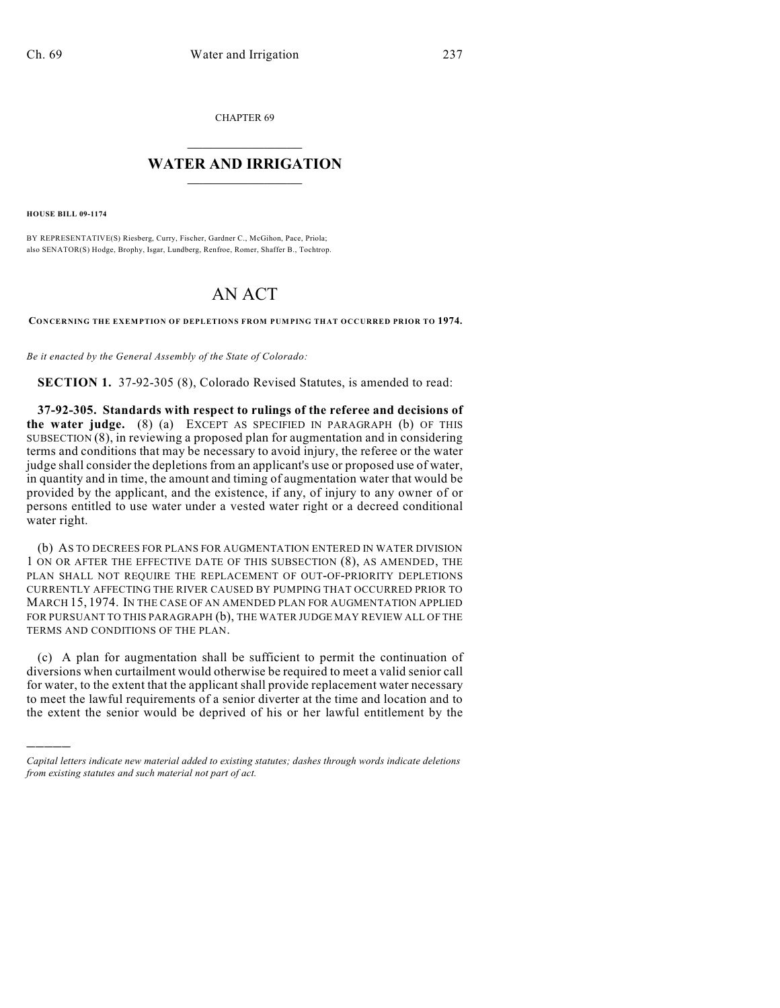CHAPTER 69

## $\overline{\phantom{a}}$  . The set of the set of the set of the set of the set of the set of the set of the set of the set of the set of the set of the set of the set of the set of the set of the set of the set of the set of the set o **WATER AND IRRIGATION**  $\_$   $\_$

**HOUSE BILL 09-1174**

)))))

BY REPRESENTATIVE(S) Riesberg, Curry, Fischer, Gardner C., McGihon, Pace, Priola; also SENATOR(S) Hodge, Brophy, Isgar, Lundberg, Renfroe, Romer, Shaffer B., Tochtrop.

## AN ACT

**CONCERNING THE EXEMPTION OF DEPLETIONS FROM PUMPING THAT OCCURRED PRIOR TO 1974.**

*Be it enacted by the General Assembly of the State of Colorado:*

**SECTION 1.** 37-92-305 (8), Colorado Revised Statutes, is amended to read:

**37-92-305. Standards with respect to rulings of the referee and decisions of the water judge.** (8) (a) EXCEPT AS SPECIFIED IN PARAGRAPH (b) OF THIS SUBSECTION (8), in reviewing a proposed plan for augmentation and in considering terms and conditions that may be necessary to avoid injury, the referee or the water judge shall consider the depletions from an applicant's use or proposed use of water, in quantity and in time, the amount and timing of augmentation water that would be provided by the applicant, and the existence, if any, of injury to any owner of or persons entitled to use water under a vested water right or a decreed conditional water right.

(b) AS TO DECREES FOR PLANS FOR AUGMENTATION ENTERED IN WATER DIVISION 1 ON OR AFTER THE EFFECTIVE DATE OF THIS SUBSECTION (8), AS AMENDED, THE PLAN SHALL NOT REQUIRE THE REPLACEMENT OF OUT-OF-PRIORITY DEPLETIONS CURRENTLY AFFECTING THE RIVER CAUSED BY PUMPING THAT OCCURRED PRIOR TO MARCH 15, 1974. IN THE CASE OF AN AMENDED PLAN FOR AUGMENTATION APPLIED FOR PURSUANT TO THIS PARAGRAPH (b), THE WATER JUDGE MAY REVIEW ALL OF THE TERMS AND CONDITIONS OF THE PLAN.

(c) A plan for augmentation shall be sufficient to permit the continuation of diversions when curtailment would otherwise be required to meet a valid senior call for water, to the extent that the applicant shall provide replacement water necessary to meet the lawful requirements of a senior diverter at the time and location and to the extent the senior would be deprived of his or her lawful entitlement by the

*Capital letters indicate new material added to existing statutes; dashes through words indicate deletions from existing statutes and such material not part of act.*